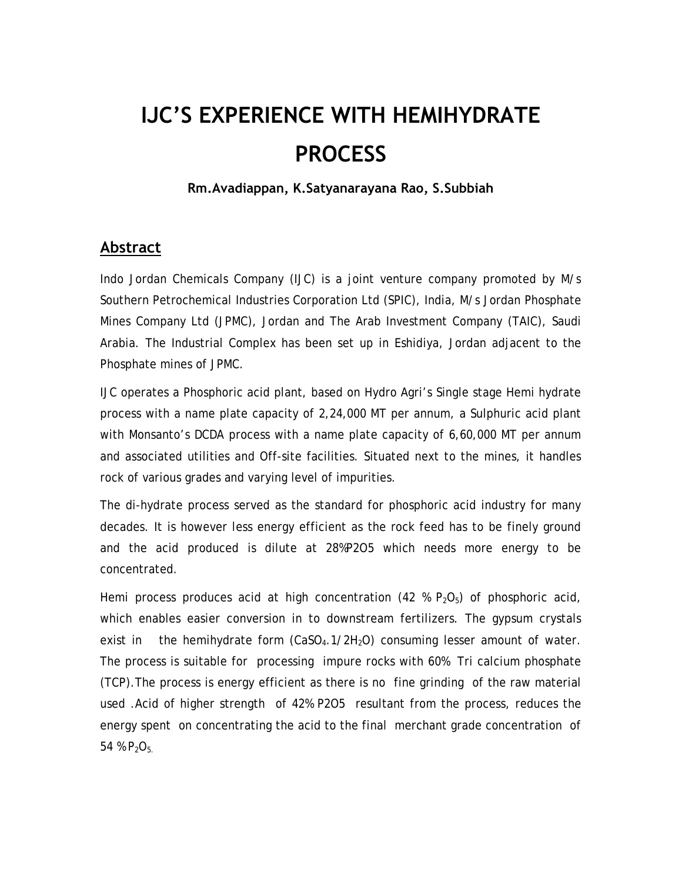# **IJC'S EXPERIENCE WITH HEMIHYDRATE PROCESS**

**Rm.Avadiappan, K.Satyanarayana Rao, S.Subbiah**

#### **Abstract**

Indo Jordan Chemicals Company (IJC) is a joint venture company promoted by M/s Southern Petrochemical Industries Corporation Ltd (SPIC), India, M/s Jordan Phosphate Mines Company Ltd (JPMC), Jordan and The Arab Investment Company (TAIC), Saudi Arabia. The Industrial Complex has been set up in Eshidiya, Jordan adjacent to the Phosphate mines of JPMC.

IJC operates a Phosphoric acid plant, based on Hydro Agri's Single stage Hemi hydrate process with a name plate capacity of 2,24,000 MT per annum, a Sulphuric acid plant with Monsanto's DCDA process with a name plate capacity of 6,60,000 MT per annum and associated utilities and Off-site facilities. Situated next to the mines, it handles rock of various grades and varying level of impurities.

The di-hydrate process served as the standard for phosphoric acid industry for many decades. It is however less energy efficient as the rock feed has to be finely ground and the acid produced is dilute at 28%P2O5 which needs more energy to be concentrated.

Hemi process produces acid at high concentration (42 %  $P_2O_5$ ) of phosphoric acid, which enables easier conversion in to downstream fertilizers. The gypsum crystals exist in the hemihydrate form  $(CaSO<sub>4</sub>.1/2H<sub>2</sub>O)$  consuming lesser amount of water. The process is suitable for processing impure rocks with 60% Tri calcium phosphate (TCP).The process is energy efficient as there is no fine grinding of the raw material used .Acid of higher strength of 42% P2O5 resultant from the process, reduces the energy spent on concentrating the acid to the final merchant grade concentration of 54 %  $P_2O_5$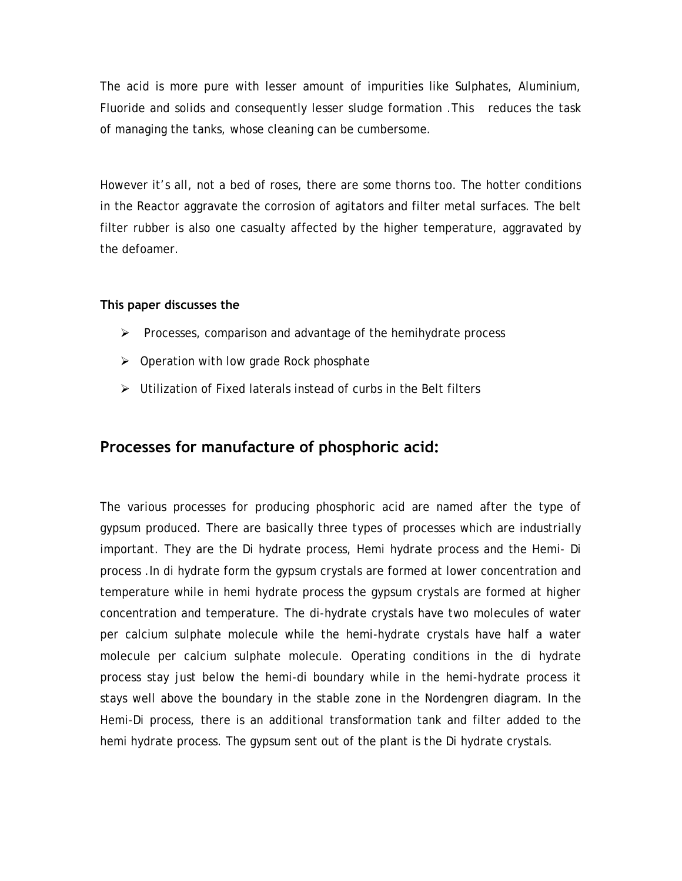The acid is more pure with lesser amount of impurities like Sulphates, Aluminium, Fluoride and solids and consequently lesser sludge formation .This reduces the task of managing the tanks, whose cleaning can be cumbersome.

However it's all, not a bed of roses, there are some thorns too. The hotter conditions in the Reactor aggravate the corrosion of agitators and filter metal surfaces. The belt filter rubber is also one casualty affected by the higher temperature, aggravated by the defoamer.

#### **This paper discusses the**

- $\triangleright$  Processes, comparison and advantage of the hemihydrate process
- $\triangleright$  Operation with low grade Rock phosphate
- $\triangleright$  Utilization of Fixed laterals instead of curbs in the Belt filters

## **Processes for manufacture of phosphoric acid:**

The various processes for producing phosphoric acid are named after the type of gypsum produced. There are basically three types of processes which are industrially important. They are the Di hydrate process, Hemi hydrate process and the Hemi- Di process .In di hydrate form the gypsum crystals are formed at lower concentration and temperature while in hemi hydrate process the gypsum crystals are formed at higher concentration and temperature. The di-hydrate crystals have two molecules of water per calcium sulphate molecule while the hemi-hydrate crystals have half a water molecule per calcium sulphate molecule. Operating conditions in the di hydrate process stay just below the hemi-di boundary while in the hemi-hydrate process it stays well above the boundary in the stable zone in the Nordengren diagram. In the Hemi-Di process, there is an additional transformation tank and filter added to the hemi hydrate process. The gypsum sent out of the plant is the Di hydrate crystals.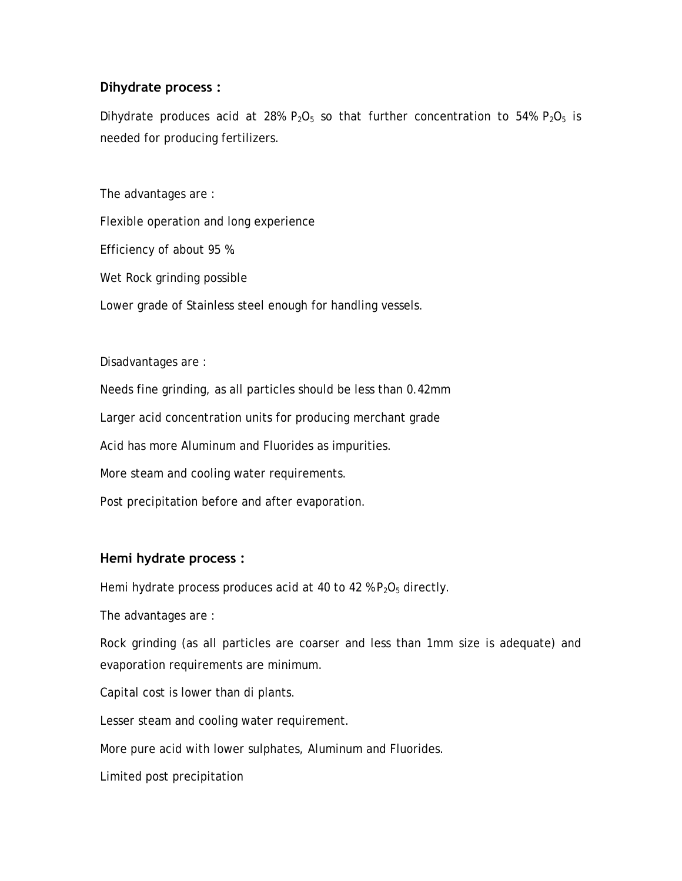#### **Dihydrate process :**

Dihydrate produces acid at 28%  $P_2O_5$  so that further concentration to 54%  $P_2O_5$  is needed for producing fertilizers.

The advantages are :

Flexible operation and long experience

Efficiency of about 95 %.

Wet Rock grinding possible

Lower grade of Stainless steel enough for handling vessels.

Disadvantages are :

Needs fine grinding, as all particles should be less than 0.42mm

Larger acid concentration units for producing merchant grade

Acid has more Aluminum and Fluorides as impurities.

More steam and cooling water requirements.

Post precipitation before and after evaporation.

#### **Hemi hydrate process :**

Hemi hydrate process produces acid at 40 to 42 %  $P_2O_5$  directly.

The advantages are :

Rock grinding (as all particles are coarser and less than 1mm size is adequate) and evaporation requirements are minimum.

Capital cost is lower than di plants.

Lesser steam and cooling water requirement.

More pure acid with lower sulphates, Aluminum and Fluorides.

Limited post precipitation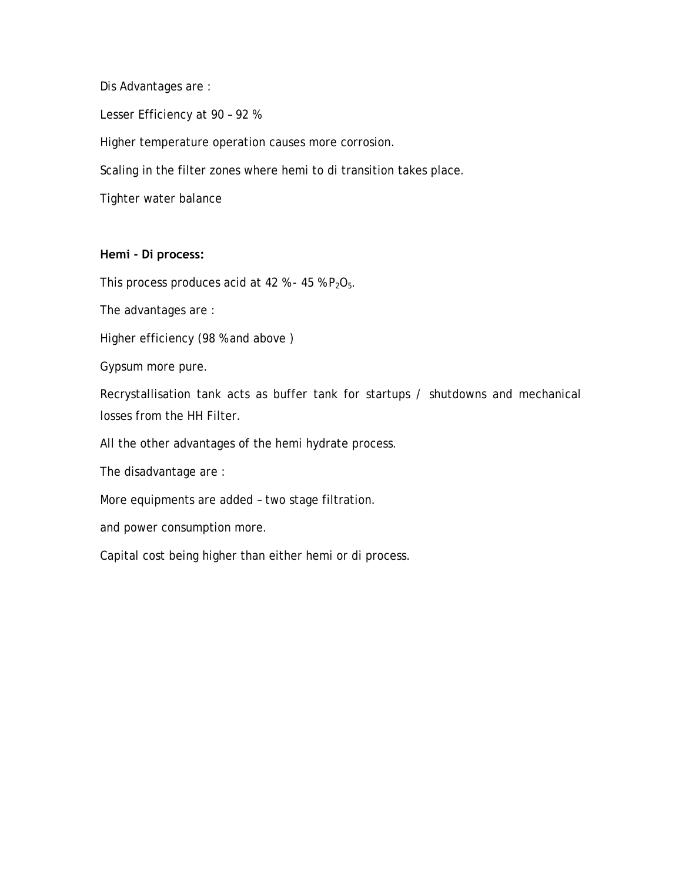Dis Advantages are :

Lesser Efficiency at 90 – 92 %

Higher temperature operation causes more corrosion.

Scaling in the filter zones where hemi to di transition takes place.

Tighter water balance

#### **Hemi - Di process:**

This process produces acid at 42 % - 45 %  $P_2O_5$ .

The advantages are :

Higher efficiency (98 % and above )

Gypsum more pure.

Recrystallisation tank acts as buffer tank for startups / shutdowns and mechanical losses from the HH Filter.

All the other advantages of the hemi hydrate process.

The disadvantage are :

More equipments are added – two stage filtration.

and power consumption more.

Capital cost being higher than either hemi or di process.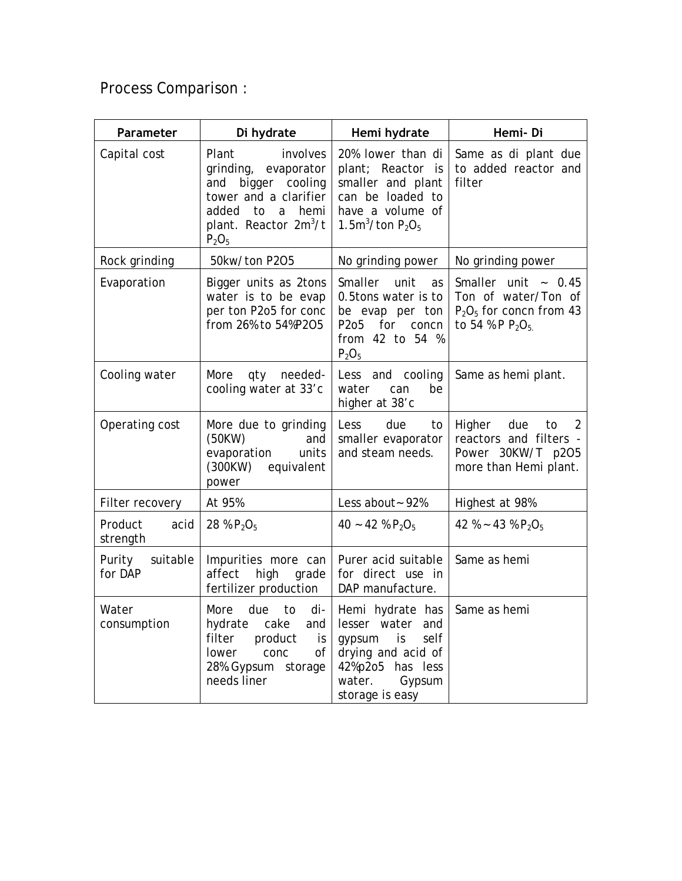Process Comparison :

| Parameter                     | Di hydrate                                                                                                                                                                   | Hemi hydrate                                                                                                                                     | Hemi-Di                                                                                             |
|-------------------------------|------------------------------------------------------------------------------------------------------------------------------------------------------------------------------|--------------------------------------------------------------------------------------------------------------------------------------------------|-----------------------------------------------------------------------------------------------------|
| Capital cost                  | Plant<br>involves<br>grinding, evaporator<br>bigger cooling<br>and<br>tower and a clarifier<br>added to<br>hemi<br>$\alpha$<br>plant. Reactor 2m <sup>3</sup> /t<br>$P_2O_5$ | 20% lower than di<br>plant; Reactor is<br>smaller and plant<br>can be loaded to<br>have a volume of<br>1.5m <sup>3</sup> /ton $P_2O_5$           | Same as di plant due<br>to added reactor and<br>filter                                              |
| Rock grinding                 | 50kw/ton P2O5                                                                                                                                                                | No grinding power                                                                                                                                | No grinding power                                                                                   |
| Evaporation                   | Bigger units as 2tons<br>water is to be evap<br>per ton P2o5 for conc<br>from 26% to 54%P2O5                                                                                 | Smaller<br>unit<br>as<br>0.5tons water is to<br>be evap per ton<br>P2o5<br>for<br>concn<br>from 42 to 54 %<br>$P_2O_5$                           | Smaller unit $\sim 0.45$<br>Ton of water/Ton of<br>$P_2O_5$ for concn from 43<br>to 54 % P $P_2O_5$ |
| Cooling water                 | More<br>needed-<br>qty<br>cooling water at 33'c                                                                                                                              | Less and cooling<br>can<br>be<br>water<br>higher at 38'c                                                                                         | Same as hemi plant.                                                                                 |
| Operating cost                | More due to grinding<br>(50KW)<br>and<br>evaporation<br>units<br>(300KW)<br>equivalent<br>power                                                                              | Less<br>due<br>to<br>smaller evaporator<br>and steam needs.                                                                                      | Higher<br>due<br>2<br>to<br>reactors and filters -<br>Power 30KW/T p2O5<br>more than Hemi plant.    |
| Filter recovery               | At 95%                                                                                                                                                                       | Less about ~ 92%                                                                                                                                 | Highest at 98%                                                                                      |
| Product<br>acid<br>strength   | 28 % $P_2O_5$                                                                                                                                                                | 40 ~ 42 % $P_2O_5$                                                                                                                               | 42 % ~ 43 % $P_2O_5$                                                                                |
| suitable<br>Purity<br>for DAP | Impurities more can<br>affect<br>high<br>grade<br>fertilizer production                                                                                                      | Purer acid suitable<br>for direct use in<br>DAP manufacture.                                                                                     | Same as hemi                                                                                        |
| Water<br>consumption          | More<br>due<br>to<br>di-<br>cake<br>and<br>hydrate<br>filter<br>product<br>is<br>0f<br>lower<br>conc<br>28%. Gypsum<br>storage<br>needs liner                                | Hemi hydrate has<br>lesser water<br>and<br>is<br>self<br>gypsum<br>drying and acid of<br>42%p2o5 has less<br>water.<br>Gypsum<br>storage is easy | Same as hemi                                                                                        |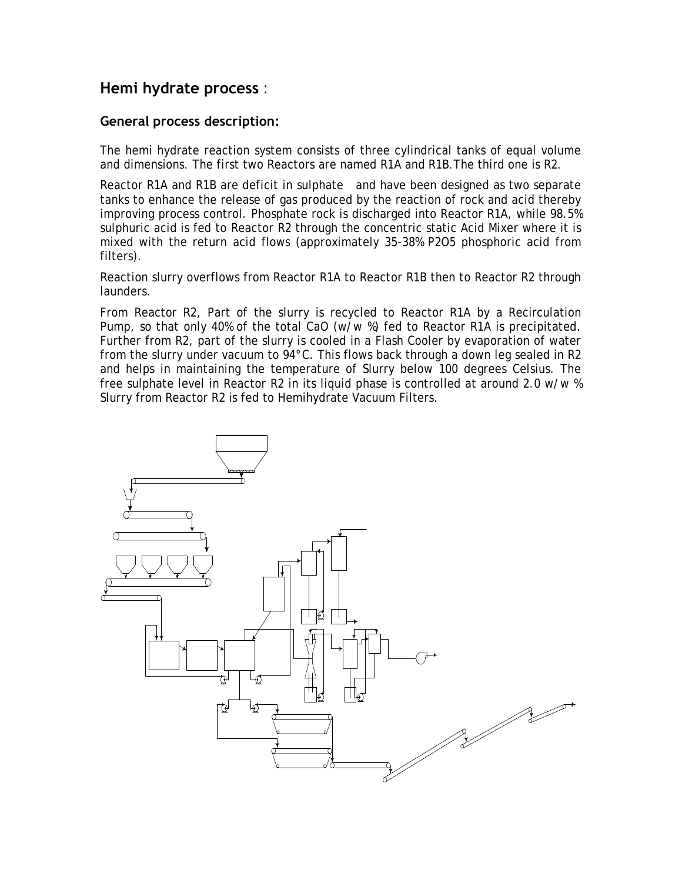### **Hemi hydrate process** :

#### **General process description:**

The hemi hydrate reaction system consists of three cylindrical tanks of equal volume and dimensions. The first two Reactors are named R1A and R1B.The third one is R2.

Reactor R1A and R1B are deficit in sulphate and have been designed as two separate tanks to enhance the release of gas produced by the reaction of rock and acid thereby improving process control. Phosphate rock is discharged into Reactor R1A, while 98.5% sulphuric acid is fed to Reactor R2 through the concentric static Acid Mixer where it is mixed with the return acid flows (approximately 35-38% P2O5 phosphoric acid from filters).

Reaction slurry overflows from Reactor R1A to Reactor R1B then to Reactor R2 through launders.

From Reactor R2, Part of the slurry is recycled to Reactor R1A by a Recirculation Pump, so that only 40% of the total CaO (w/w %) fed to Reactor R1A is precipitated. Further from R2, part of the slurry is cooled in a Flash Cooler by evaporation of water from the slurry under vacuum to 94°C. This flows back through a down leg sealed in R2 and helps in maintaining the temperature of Slurry below 100 degrees Celsius. The free sulphate level in Reactor R2 in its liquid phase is controlled at around 2.0 w/w % Slurry from Reactor R2 is fed to Hemihydrate Vacuum Filters.

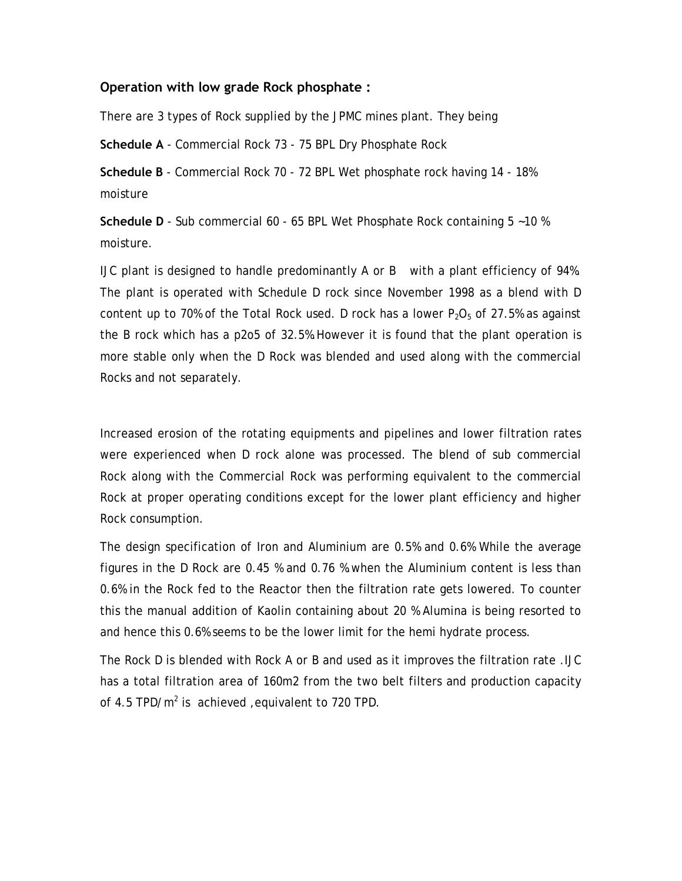#### **Operation with low grade Rock phosphate :**

There are 3 types of Rock supplied by the JPMC mines plant. They being

**Schedule A** - Commercial Rock 73 - 75 BPL Dry Phosphate Rock

**Schedule B** - Commercial Rock 70 - 72 BPL Wet phosphate rock having 14 - 18% moisture

**Schedule D** - Sub commercial 60 - 65 BPL Wet Phosphate Rock containing 5 ~10 % moisture.

IJC plant is designed to handle predominantly A or B with a plant efficiency of 94%. The plant is operated with Schedule D rock since November 1998 as a blend with D content up to 70% of the Total Rock used. D rock has a lower  $P_2O_5$  of 27.5% as against the B rock which has a p2o5 of 32.5%.However it is found that the plant operation is more stable only when the D Rock was blended and used along with the commercial Rocks and not separately.

Increased erosion of the rotating equipments and pipelines and lower filtration rates were experienced when D rock alone was processed. The blend of sub commercial Rock along with the Commercial Rock was performing equivalent to the commercial Rock at proper operating conditions except for the lower plant efficiency and higher Rock consumption.

The design specification of Iron and Aluminium are 0.5% and 0.6% While the average figures in the D Rock are 0.45 % and 0.76 %.when the Aluminium content is less than 0.6% in the Rock fed to the Reactor then the filtration rate gets lowered. To counter this the manual addition of Kaolin containing about 20 % Alumina is being resorted to and hence this 0.6% seems to be the lower limit for the hemi hydrate process.

The Rock D is blended with Rock A or B and used as it improves the filtration rate .IJC has a total filtration area of 160m2 from the two belt filters and production capacity of 4.5 TPD/ $m^2$  is achieved , equivalent to 720 TPD.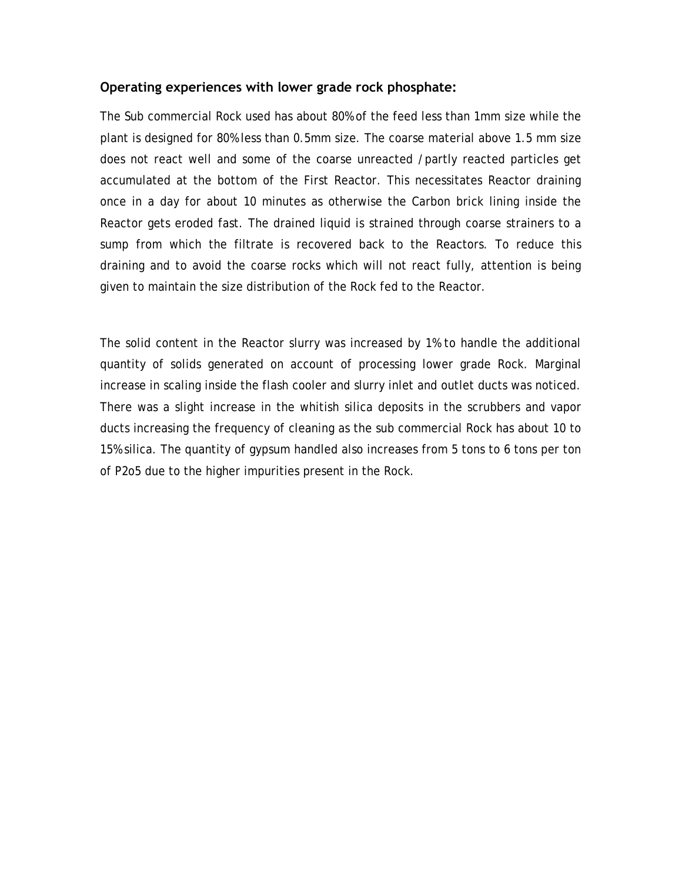#### **Operating experiences with lower grade rock phosphate:**

The Sub commercial Rock used has about 80% of the feed less than 1mm size while the plant is designed for 80% less than 0.5mm size. The coarse material above 1.5 mm size does not react well and some of the coarse unreacted /partly reacted particles get accumulated at the bottom of the First Reactor. This necessitates Reactor draining once in a day for about 10 minutes as otherwise the Carbon brick lining inside the Reactor gets eroded fast. The drained liquid is strained through coarse strainers to a sump from which the filtrate is recovered back to the Reactors. To reduce this draining and to avoid the coarse rocks which will not react fully, attention is being given to maintain the size distribution of the Rock fed to the Reactor.

The solid content in the Reactor slurry was increased by 1% to handle the additional quantity of solids generated on account of processing lower grade Rock. Marginal increase in scaling inside the flash cooler and slurry inlet and outlet ducts was noticed. There was a slight increase in the whitish silica deposits in the scrubbers and vapor ducts increasing the frequency of cleaning as the sub commercial Rock has about 10 to 15% silica. The quantity of gypsum handled also increases from 5 tons to 6 tons per ton of P2o5 due to the higher impurities present in the Rock.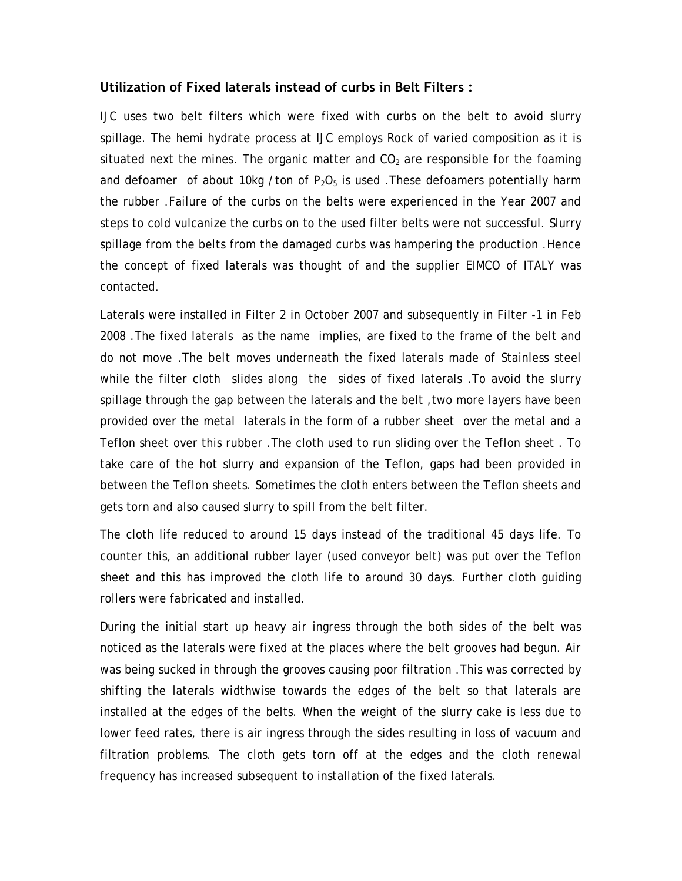#### **Utilization of Fixed laterals instead of curbs in Belt Filters :**

IJC uses two belt filters which were fixed with curbs on the belt to avoid slurry spillage. The hemi hydrate process at IJC employs Rock of varied composition as it is situated next the mines. The organic matter and  $CO<sub>2</sub>$  are responsible for the foaming and defoamer of about 10kg /ton of  $P_2O_5$  is used. These defoamers potentially harm the rubber .Failure of the curbs on the belts were experienced in the Year 2007 and steps to cold vulcanize the curbs on to the used filter belts were not successful. Slurry spillage from the belts from the damaged curbs was hampering the production .Hence the concept of fixed laterals was thought of and the supplier EIMCO of ITALY was contacted.

Laterals were installed in Filter 2 in October 2007 and subsequently in Filter -1 in Feb 2008 .The fixed laterals as the name implies, are fixed to the frame of the belt and do not move .The belt moves underneath the fixed laterals made of Stainless steel while the filter cloth slides along the sides of fixed laterals .To avoid the slurry spillage through the gap between the laterals and the belt ,two more layers have been provided over the metal laterals in the form of a rubber sheet over the metal and a Teflon sheet over this rubber .The cloth used to run sliding over the Teflon sheet . To take care of the hot slurry and expansion of the Teflon, gaps had been provided in between the Teflon sheets. Sometimes the cloth enters between the Teflon sheets and gets torn and also caused slurry to spill from the belt filter.

The cloth life reduced to around 15 days instead of the traditional 45 days life. To counter this, an additional rubber layer (used conveyor belt) was put over the Teflon sheet and this has improved the cloth life to around 30 days. Further cloth guiding rollers were fabricated and installed.

During the initial start up heavy air ingress through the both sides of the belt was noticed as the laterals were fixed at the places where the belt grooves had begun. Air was being sucked in through the grooves causing poor filtration .This was corrected by shifting the laterals widthwise towards the edges of the belt so that laterals are installed at the edges of the belts. When the weight of the slurry cake is less due to lower feed rates, there is air ingress through the sides resulting in loss of vacuum and filtration problems. The cloth gets torn off at the edges and the cloth renewal frequency has increased subsequent to installation of the fixed laterals.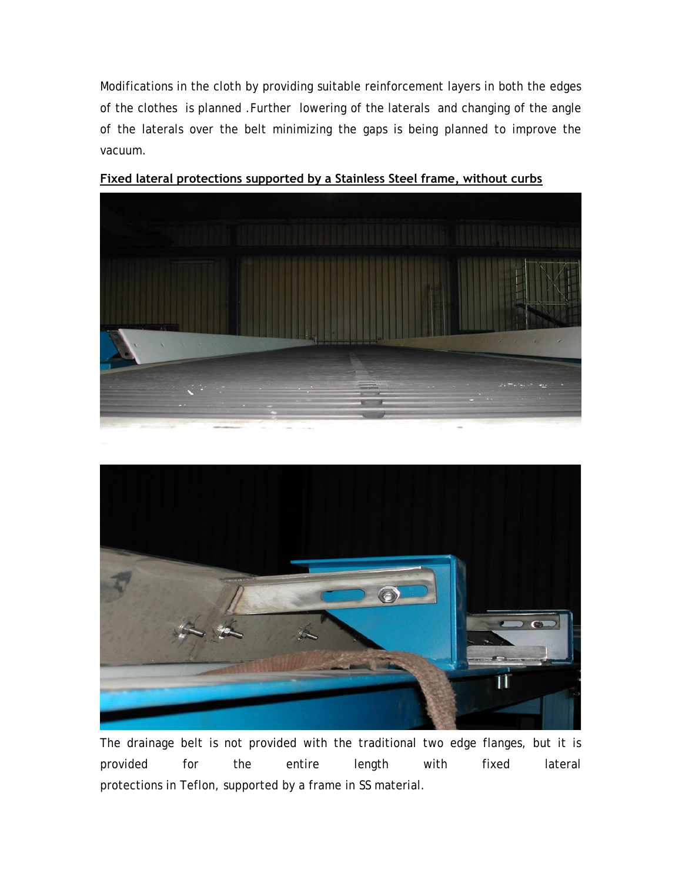Modifications in the cloth by providing suitable reinforcement layers in both the edges of the clothes is planned .Further lowering of the laterals and changing of the angle of the laterals over the belt minimizing the gaps is being planned to improve the vacuum.



**Fixed lateral protections supported by a Stainless Steel frame, without curbs**



The drainage belt is not provided with the traditional two edge flanges, but it is provided for the entire length with fixed lateral protections in Teflon, supported by a frame in SS material.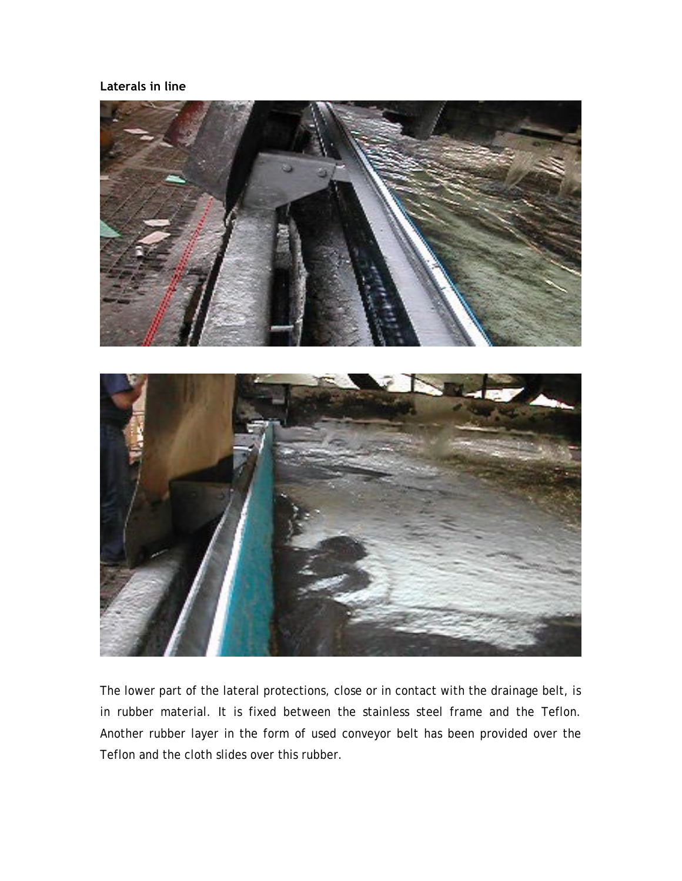#### **Laterals in line**



The lower part of the lateral protections, close or in contact with the drainage belt, is in rubber material. It is fixed between the stainless steel frame and the Teflon. Another rubber layer in the form of used conveyor belt has been provided over the Teflon and the cloth slides over this rubber.